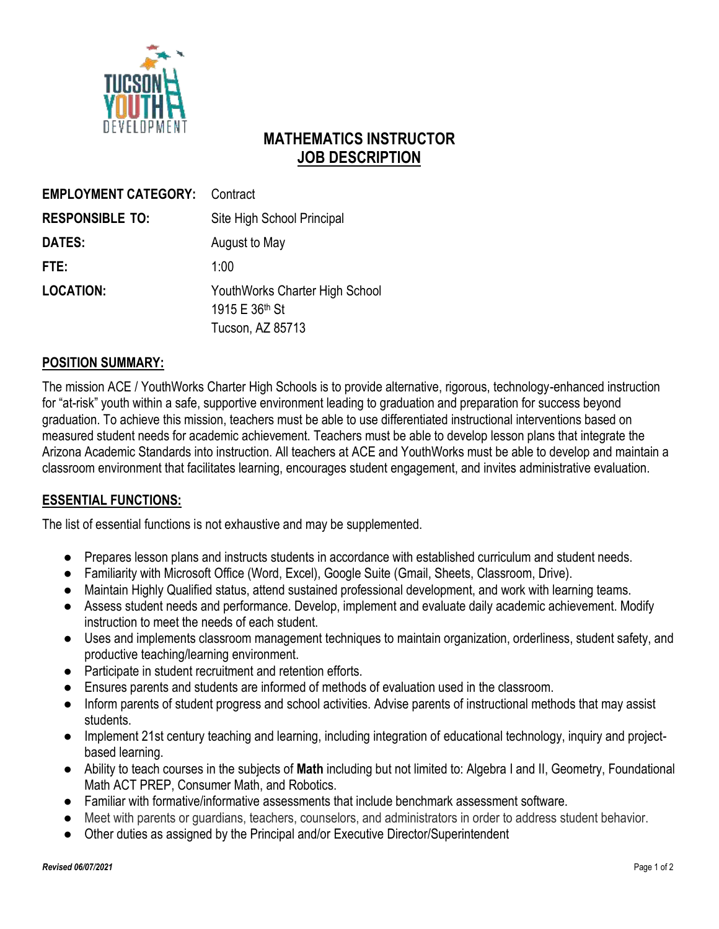

# **MATHEMATICS INSTRUCTOR JOB DESCRIPTION**

| <b>EMPLOYMENT CATEGORY:</b> | Contract                       |
|-----------------------------|--------------------------------|
| <b>RESPONSIBLE TO:</b>      | Site High School Principal     |
| DATES:                      | August to May                  |
| FTE:                        | 1:00                           |
| <b>LOCATION:</b>            | YouthWorks Charter High School |
|                             | 1915 E 36 <sup>th</sup> St     |
|                             | Tucson, AZ 85713               |

### **POSITION SUMMARY:**

The mission ACE / YouthWorks Charter High Schools is to provide alternative, rigorous, technology-enhanced instruction for "at-risk" youth within a safe, supportive environment leading to graduation and preparation for success beyond graduation. To achieve this mission, teachers must be able to use differentiated instructional interventions based on measured student needs for academic achievement. Teachers must be able to develop lesson plans that integrate the Arizona Academic Standards into instruction. All teachers at ACE and YouthWorks must be able to develop and maintain a classroom environment that facilitates learning, encourages student engagement, and invites administrative evaluation.

### **ESSENTIAL FUNCTIONS:**

The list of essential functions is not exhaustive and may be supplemented.

- **●** Prepares lesson plans and instructs students in accordance with established curriculum and student needs.
- **●** Familiarity with Microsoft Office (Word, Excel), Google Suite (Gmail, Sheets, Classroom, Drive).
- **●** Maintain Highly Qualified status, attend sustained professional development, and work with learning teams.
- **●** Assess student needs and performance. Develop, implement and evaluate daily academic achievement. Modify instruction to meet the needs of each student.
- **●** Uses and implements classroom management techniques to maintain organization, orderliness, student safety, and productive teaching/learning environment.
- **●** Participate in student recruitment and retention efforts.
- Ensures parents and students are informed of methods of evaluation used in the classroom.
- **●** Inform parents of student progress and school activities. Advise parents of instructional methods that may assist students.
- **●** Implement 21st century teaching and learning, including integration of educational technology, inquiry and projectbased learning.
- **●** Ability to teach courses in the subjects of **Math** including but not limited to: Algebra I and II, Geometry, Foundational Math ACT PREP, Consumer Math, and Robotics.
- **●** Familiar with formative/informative assessments that include benchmark assessment software.
- **●** Meet with parents or guardians, teachers, counselors, and administrators in order to address student behavior.
- **●** Other duties as assigned by the Principal and/or Executive Director/Superintendent